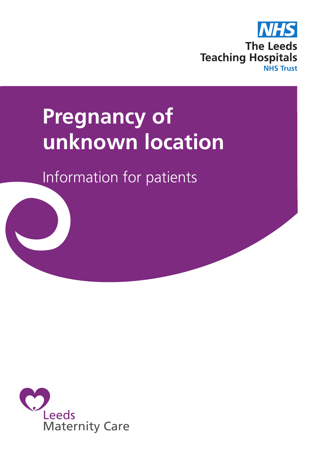

# **Pregnancy of unknown location**

Information for patients



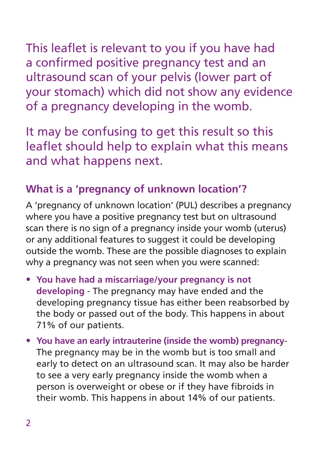This leaflet is relevant to you if you have had

a confirmed positive pregnancy test and an ultrasound scan of your pelvis (lower part of your stomach) which did not show any evidence of a pregnancy developing in the womb.

It may be confusing to get this result so this leaflet should help to explain what this means and what happens next.

# **What is a 'pregnancy of unknown location'?**

A 'pregnancy of unknown location' (PUL) describes a pregnancy where you have a positive pregnancy test but on ultrasound scan there is no sign of a pregnancy inside your womb (uterus) or any additional features to suggest it could be developing outside the womb. These are the possible diagnoses to explain why a pregnancy was not seen when you were scanned:

- **You have had a miscarriage/your pregnancy is not developing** - The pregnancy may have ended and the developing pregnancy tissue has either been reabsorbed by the body or passed out of the body. This happens in about 71% of our patients.
- **You have an early intrauterine (inside the womb) pregnancy**-The pregnancy may be in the womb but is too small and early to detect on an ultrasound scan. It may also be harder to see a very early pregnancy inside the womb when a person is overweight or obese or if they have fibroids in their womb. This happens in about 14% of our patients.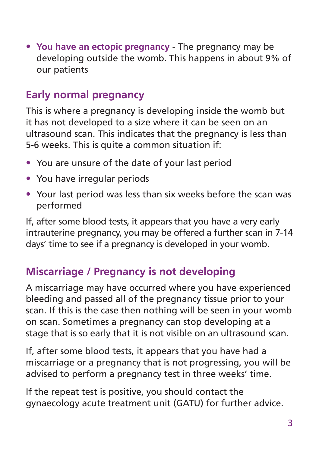• **You have an ectopic pregnancy** - The pregnancy may be developing outside the womb. This happens in about 9% of our patients

# **Early normal pregnancy**

This is where a pregnancy is developing inside the womb but it has not developed to a size where it can be seen on an ultrasound scan. This indicates that the pregnancy is less than 5-6 weeks. This is quite a common situation if:

- You are unsure of the date of your last period
- You have irregular periods
- Your last period was less than six weeks before the scan was performed

If, after some blood tests, it appears that you have a very early intrauterine pregnancy, you may be offered a further scan in 7-14 days' time to see if a pregnancy is developed in your womb.

### **Miscarriage / Pregnancy is not developing**

A miscarriage may have occurred where you have experienced bleeding and passed all of the pregnancy tissue prior to your scan. If this is the case then nothing will be seen in your womb on scan. Sometimes a pregnancy can stop developing at a stage that is so early that it is not visible on an ultrasound scan.

If, after some blood tests, it appears that you have had a miscarriage or a pregnancy that is not progressing, you will be advised to perform a pregnancy test in three weeks' time.

If the repeat test is positive, you should contact the gynaecology acute treatment unit (GATU) for further advice.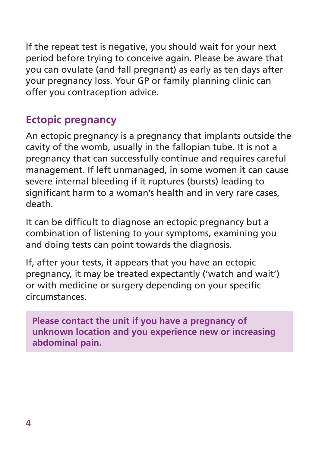If the repeat test is negative, you should wait for your next period before trying to conceive again. Please be aware that you can ovulate (and fall pregnant) as early as ten days after your pregnancy loss. Your GP or family planning clinic can offer you contraception advice.

# **Ectopic pregnancy**

An ectopic pregnancy is a pregnancy that implants outside the cavity of the womb, usually in the fallopian tube. It is not a pregnancy that can successfully continue and requires careful management. If left unmanaged, in some women it can cause severe internal bleeding if it ruptures (bursts) leading to significant harm to a woman's health and in very rare cases, death.

It can be difficult to diagnose an ectopic pregnancy but a combination of listening to your symptoms, examining you and doing tests can point towards the diagnosis.

If, after your tests, it appears that you have an ectopic pregnancy, it may be treated expectantly ('watch and wait') or with medicine or surgery depending on your specific circumstances.

**Please contact the unit if you have a pregnancy of unknown location and you experience new or increasing abdominal pain.**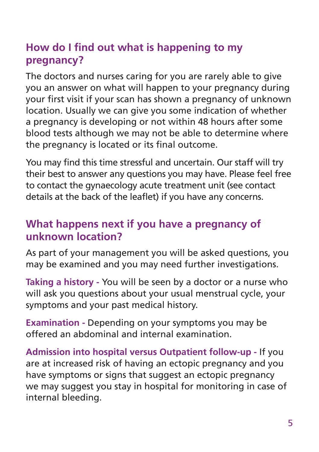# **How do I find out what is happening to my pregnancy?**

The doctors and nurses caring for you are rarely able to give you an answer on what will happen to your pregnancy during your first visit if your scan has shown a pregnancy of unknown location. Usually we can give you some indication of whether a pregnancy is developing or not within 48 hours after some blood tests although we may not be able to determine where the pregnancy is located or its final outcome.

You may find this time stressful and uncertain. Our staff will try their best to answer any questions you may have. Please feel free to contact the gynaecology acute treatment unit (see contact details at the back of the leaflet) if you have any concerns.

## **What happens next if you have a pregnancy of unknown location?**

As part of your management you will be asked questions, you may be examined and you may need further investigations.

**Taking a history -** You will be seen by a doctor or a nurse who will ask you questions about your usual menstrual cycle, your symptoms and your past medical history.

**Examination -** Depending on your symptoms you may be offered an abdominal and internal examination.

**Admission into hospital versus Outpatient follow-up -** If you are at increased risk of having an ectopic pregnancy and you have symptoms or signs that suggest an ectopic pregnancy we may suggest you stay in hospital for monitoring in case of internal bleeding.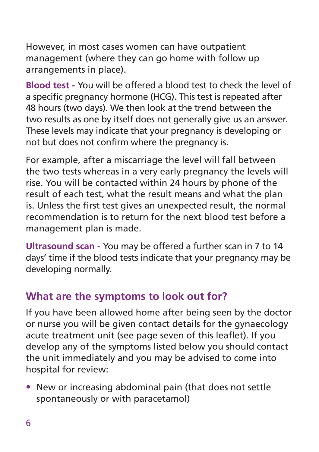However, in most cases women can have outpatient management (where they can go home with follow up arrangements in place).

**Blood test -** You will be offered a blood test to check the level of a specific pregnancy hormone (HCG). This test is repeated after 48 hours (two days). We then look at the trend between the two results as one by itself does not generally give us an answer. These levels may indicate that your pregnancy is developing or not but does not confirm where the pregnancy is.

For example, after a miscarriage the level will fall between the two tests whereas in a very early pregnancy the levels will rise. You will be contacted within 24 hours by phone of the result of each test, what the result means and what the plan is. Unless the first test gives an unexpected result, the normal recommendation is to return for the next blood test before a management plan is made.

**Ultrasound scan -** You may be offered a further scan in 7 to 14 days' time if the blood tests indicate that your pregnancy may be developing normally.

## **What are the symptoms to look out for?**

If you have been allowed home after being seen by the doctor or nurse you will be given contact details for the gynaecology acute treatment unit (see page seven of this leaflet). If you develop any of the symptoms listed below you should contact the unit immediately and you may be advised to come into hospital for review:

• New or increasing abdominal pain (that does not settle spontaneously or with paracetamol)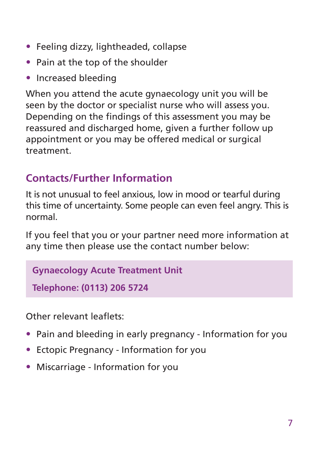- Feeling dizzy, lightheaded, collapse
- Pain at the top of the shoulder
- Increased bleeding

When you attend the acute gynaecology unit you will be seen by the doctor or specialist nurse who will assess you. Depending on the findings of this assessment you may be reassured and discharged home, given a further follow up appointment or you may be offered medical or surgical treatment.

# **Contacts/Further Information**

It is not unusual to feel anxious, low in mood or tearful during this time of uncertainty. Some people can even feel angry. This is normal.

If you feel that you or your partner need more information at any time then please use the contact number below:

#### **Gynaecology Acute Treatment Unit**

**Telephone: (0113) 206 5724**

Other relevant leaflets:

- Pain and bleeding in early pregnancy Information for you
- Ectopic Pregnancy Information for you
- Miscarriage Information for you